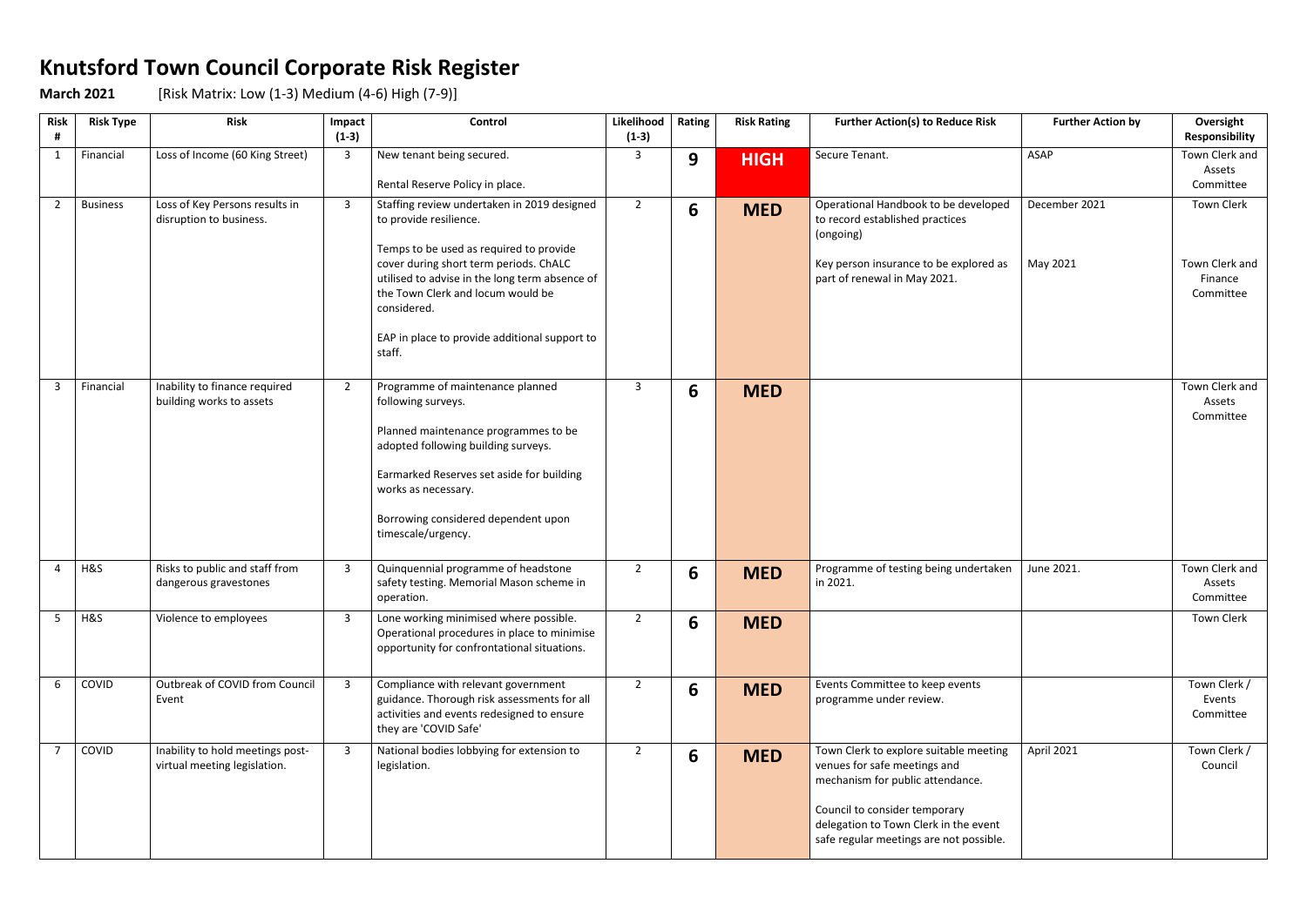## **Knutsford Town Council Corporate Risk Register**

**March 2021** [Risk Matrix: Low (1-3) Medium (4-6) High (7-9)]

| <b>Risk</b><br># | <b>Risk Type</b> | <b>Risk</b>                                                      | Impact<br>$(1-3)$ | Control                                                                                                                                                                                                                                                                                                                     | Likelihood<br>$(1-3)$ | Rating | <b>Risk Rating</b> | <b>Further Action(s) to Reduce Risk</b>                                                                                                                                                                                         | <b>Further Action by</b>  | Oversight<br>Responsibility                                 |
|------------------|------------------|------------------------------------------------------------------|-------------------|-----------------------------------------------------------------------------------------------------------------------------------------------------------------------------------------------------------------------------------------------------------------------------------------------------------------------------|-----------------------|--------|--------------------|---------------------------------------------------------------------------------------------------------------------------------------------------------------------------------------------------------------------------------|---------------------------|-------------------------------------------------------------|
| $\mathbf{1}$     | Financial        | Loss of Income (60 King Street)                                  | 3                 | New tenant being secured.<br>Rental Reserve Policy in place.                                                                                                                                                                                                                                                                | 3                     | 9      | <b>HIGH</b>        | Secure Tenant.                                                                                                                                                                                                                  | ASAP                      | Town Clerk and<br>Assets<br>Committee                       |
| $\overline{2}$   | <b>Business</b>  | Loss of Key Persons results in<br>disruption to business.        | 3                 | Staffing review undertaken in 2019 designed<br>to provide resilience.<br>Temps to be used as required to provide<br>cover during short term periods. ChALC<br>utilised to advise in the long term absence of<br>the Town Clerk and locum would be<br>considered.<br>EAP in place to provide additional support to<br>staff. | $\overline{2}$        | 6      | <b>MED</b>         | Operational Handbook to be developed<br>to record established practices<br>(ongoing)<br>Key person insurance to be explored as<br>part of renewal in May 2021.                                                                  | December 2021<br>May 2021 | <b>Town Clerk</b><br>Town Clerk and<br>Finance<br>Committee |
| $\overline{3}$   | Financial        | Inability to finance required<br>building works to assets        | $\overline{2}$    | Programme of maintenance planned<br>following surveys.<br>Planned maintenance programmes to be<br>adopted following building surveys.<br>Earmarked Reserves set aside for building<br>works as necessary.<br>Borrowing considered dependent upon<br>timescale/urgency.                                                      | 3                     | 6      | <b>MED</b>         |                                                                                                                                                                                                                                 |                           | Town Clerk and<br>Assets<br>Committee                       |
| 4                | H&S              | Risks to public and staff from<br>dangerous gravestones          | 3                 | Quinquennial programme of headstone<br>safety testing. Memorial Mason scheme in<br>operation.                                                                                                                                                                                                                               | $\overline{2}$        | 6      | <b>MED</b>         | Programme of testing being undertaken<br>in 2021.                                                                                                                                                                               | June 2021.                | Town Clerk and<br>Assets<br>Committee                       |
| 5                | H&S              | Violence to employees                                            | 3                 | Lone working minimised where possible.<br>Operational procedures in place to minimise<br>opportunity for confrontational situations.                                                                                                                                                                                        | $\overline{2}$        | 6      | <b>MED</b>         |                                                                                                                                                                                                                                 |                           | <b>Town Clerk</b>                                           |
| 6                | COVID            | Outbreak of COVID from Council<br>Event                          | $\overline{3}$    | Compliance with relevant government<br>guidance. Thorough risk assessments for all<br>activities and events redesigned to ensure<br>they are 'COVID Safe'                                                                                                                                                                   | $\overline{2}$        | 6      | <b>MED</b>         | Events Committee to keep events<br>programme under review.                                                                                                                                                                      |                           | Town Clerk /<br>Events<br>Committee                         |
|                  | COVID            | Inability to hold meetings post-<br>virtual meeting legislation. | 3                 | National bodies lobbying for extension to<br>legislation.                                                                                                                                                                                                                                                                   | $\overline{2}$        | 6      | <b>MED</b>         | Town Clerk to explore suitable meeting<br>venues for safe meetings and<br>mechanism for public attendance.<br>Council to consider temporary<br>delegation to Town Clerk in the event<br>safe regular meetings are not possible. | April 2021                | Town Clerk /<br>Council                                     |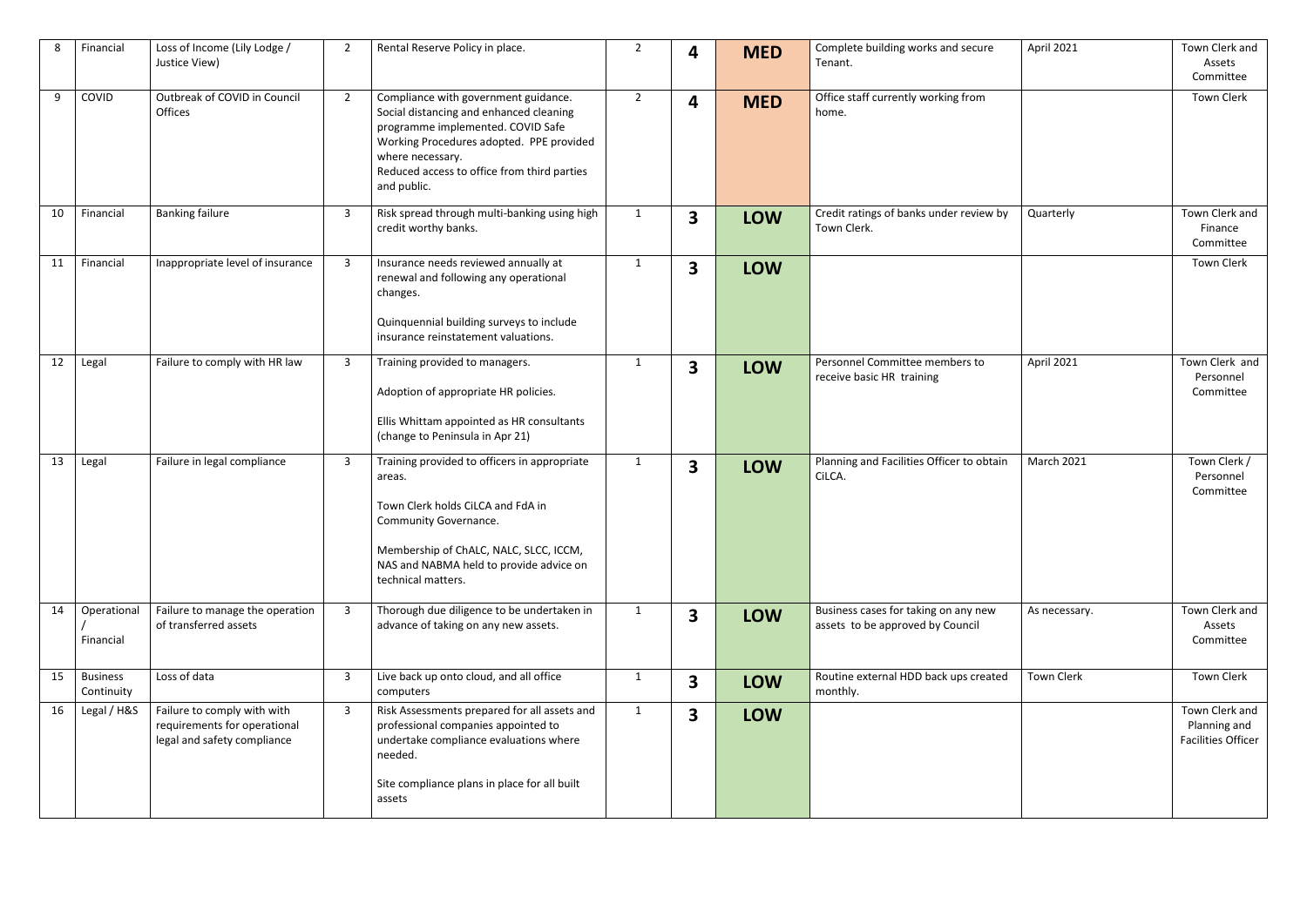| 8  | Financial                     | Loss of Income (Lily Lodge /<br>Justice View)                                              | $\overline{2}$ | Rental Reserve Policy in place.                                                                                                                                                                                                                    | $\overline{2}$ | 4                       | <b>MED</b> | Complete building works and secure<br>Tenant.                            | April 2021        | Town Clerk and<br>Assets<br>Committee                       |
|----|-------------------------------|--------------------------------------------------------------------------------------------|----------------|----------------------------------------------------------------------------------------------------------------------------------------------------------------------------------------------------------------------------------------------------|----------------|-------------------------|------------|--------------------------------------------------------------------------|-------------------|-------------------------------------------------------------|
| 9  | COVID                         | Outbreak of COVID in Council<br>Offices                                                    | $\overline{2}$ | Compliance with government guidance.<br>Social distancing and enhanced cleaning<br>programme implemented. COVID Safe<br>Working Procedures adopted. PPE provided<br>where necessary.<br>Reduced access to office from third parties<br>and public. | $\overline{2}$ | 4                       | <b>MED</b> | Office staff currently working from<br>home.                             |                   | <b>Town Clerk</b>                                           |
| 10 | Financial                     | <b>Banking failure</b>                                                                     | 3              | Risk spread through multi-banking using high<br>credit worthy banks.                                                                                                                                                                               | $\mathbf{1}$   | 3                       | <b>LOW</b> | Credit ratings of banks under review by<br>Town Clerk.                   | Quarterly         | Town Clerk and<br>Finance<br>Committee                      |
| 11 | Financial                     | Inappropriate level of insurance                                                           | 3              | Insurance needs reviewed annually at<br>renewal and following any operational<br>changes.<br>Quinquennial building surveys to include<br>insurance reinstatement valuations.                                                                       | 1              | 3                       | <b>LOW</b> |                                                                          |                   | <b>Town Clerk</b>                                           |
| 12 | Legal                         | Failure to comply with HR law                                                              | 3              | Training provided to managers.<br>Adoption of appropriate HR policies.<br>Ellis Whittam appointed as HR consultants<br>(change to Peninsula in Apr 21)                                                                                             | $\mathbf{1}$   | 3                       | <b>LOW</b> | Personnel Committee members to<br>receive basic HR training              | April 2021        | Town Clerk and<br>Personnel<br>Committee                    |
| 13 | Legal                         | Failure in legal compliance                                                                | 3              | Training provided to officers in appropriate<br>areas.<br>Town Clerk holds CiLCA and FdA in<br>Community Governance.<br>Membership of ChALC, NALC, SLCC, ICCM,<br>NAS and NABMA held to provide advice on<br>technical matters.                    | $\mathbf{1}$   | 3                       | <b>LOW</b> | Planning and Facilities Officer to obtain<br>CiLCA.                      | March 2021        | Town Clerk /<br>Personnel<br>Committee                      |
| 14 | Operational<br>Financial      | Failure to manage the operation<br>of transferred assets                                   | 3              | Thorough due diligence to be undertaken in<br>advance of taking on any new assets.                                                                                                                                                                 | $\mathbf{1}$   | $\overline{\mathbf{3}}$ | <b>LOW</b> | Business cases for taking on any new<br>assets to be approved by Council | As necessary.     | Town Clerk and<br>Assets<br>Committee                       |
| 15 | <b>Business</b><br>Continuity | Loss of data                                                                               | 3              | Live back up onto cloud, and all office<br>computers                                                                                                                                                                                               | $\mathbf{1}$   | $\overline{\mathbf{3}}$ | <b>LOW</b> | Routine external HDD back ups created<br>monthly.                        | <b>Town Clerk</b> | <b>Town Clerk</b>                                           |
| 16 | Legal / H&S                   | Failure to comply with with<br>requirements for operational<br>legal and safety compliance | 3              | Risk Assessments prepared for all assets and<br>professional companies appointed to<br>undertake compliance evaluations where<br>needed.<br>Site compliance plans in place for all built<br>assets                                                 | $\mathbf{1}$   | 3                       | <b>LOW</b> |                                                                          |                   | Town Clerk and<br>Planning and<br><b>Facilities Officer</b> |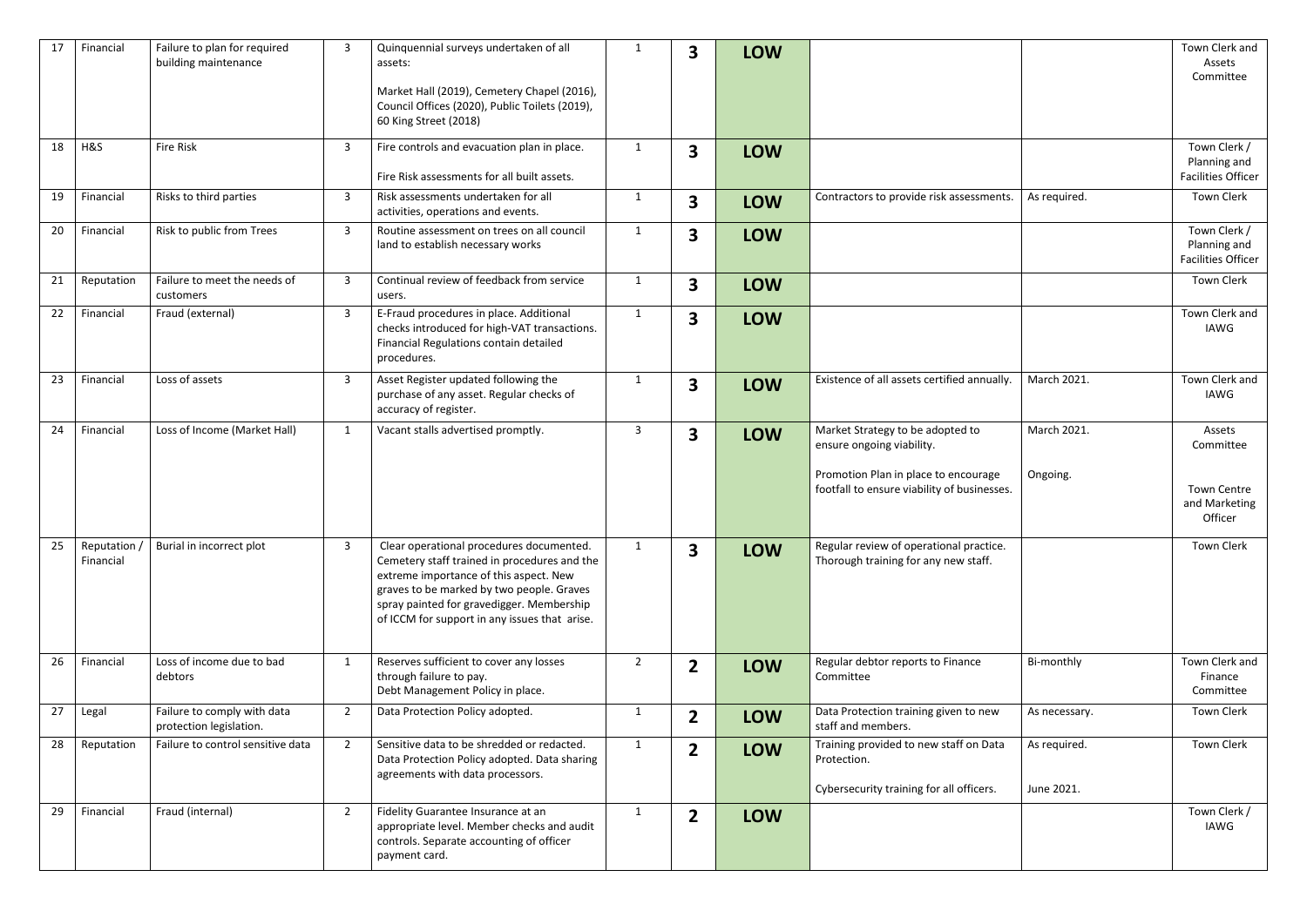| 17 | Financial               | Failure to plan for required<br>building maintenance   | 3              | Quinquennial surveys undertaken of all<br>assets:<br>Market Hall (2019), Cemetery Chapel (2016),<br>Council Offices (2020), Public Toilets (2019),<br>60 King Street (2018)                                                                                                   | $\mathbf{1}$   | 3                       | <b>LOW</b> |                                                                                                                                                                                 | Town Clerk and<br>Assets<br>Committee                                 |
|----|-------------------------|--------------------------------------------------------|----------------|-------------------------------------------------------------------------------------------------------------------------------------------------------------------------------------------------------------------------------------------------------------------------------|----------------|-------------------------|------------|---------------------------------------------------------------------------------------------------------------------------------------------------------------------------------|-----------------------------------------------------------------------|
| 18 | H&S                     | <b>Fire Risk</b>                                       | 3              | Fire controls and evacuation plan in place.<br>Fire Risk assessments for all built assets.                                                                                                                                                                                    | $\mathbf{1}$   | $\mathbf{3}$            | <b>LOW</b> |                                                                                                                                                                                 | Town Clerk /<br>Planning and<br><b>Facilities Officer</b>             |
| 19 | Financial               | Risks to third parties                                 | 3              | Risk assessments undertaken for all<br>activities, operations and events.                                                                                                                                                                                                     | $\mathbf 1$    | $\overline{\mathbf{3}}$ | <b>LOW</b> | Contractors to provide risk assessments.<br>As required.                                                                                                                        | Town Clerk                                                            |
| 20 | Financial               | Risk to public from Trees                              | 3              | Routine assessment on trees on all council<br>land to establish necessary works                                                                                                                                                                                               | $\mathbf 1$    | $\mathbf{3}$            | <b>LOW</b> |                                                                                                                                                                                 | Town Clerk /<br>Planning and<br><b>Facilities Officer</b>             |
| 21 | Reputation              | Failure to meet the needs of<br>customers              | 3              | Continual review of feedback from service<br>users.                                                                                                                                                                                                                           | $\mathbf{1}$   | $\overline{\mathbf{3}}$ | <b>LOW</b> |                                                                                                                                                                                 | <b>Town Clerk</b>                                                     |
| 22 | Financial               | Fraud (external)                                       | 3              | E-Fraud procedures in place. Additional<br>checks introduced for high-VAT transactions.<br>Financial Regulations contain detailed<br>procedures.                                                                                                                              | $\mathbf{1}$   | 3                       | <b>LOW</b> |                                                                                                                                                                                 | Town Clerk and<br>IAWG                                                |
| 23 | Financial               | Loss of assets                                         | 3              | Asset Register updated following the<br>purchase of any asset. Regular checks of<br>accuracy of register.                                                                                                                                                                     | $\mathbf{1}$   | $\overline{\mathbf{3}}$ | <b>LOW</b> | March 2021.<br>Existence of all assets certified annually.                                                                                                                      | Town Clerk and<br>IAWG                                                |
| 24 | Financial               | Loss of Income (Market Hall)                           | $\mathbf{1}$   | Vacant stalls advertised promptly.                                                                                                                                                                                                                                            | 3              | 3                       | <b>LOW</b> | March 2021.<br>Market Strategy to be adopted to<br>ensure ongoing viability.<br>Promotion Plan in place to encourage<br>Ongoing.<br>footfall to ensure viability of businesses. | Assets<br>Committee<br><b>Town Centre</b><br>and Marketing<br>Officer |
| 25 | Reputation<br>Financial | Burial in incorrect plot                               | 3              | Clear operational procedures documented.<br>Cemetery staff trained in procedures and the<br>extreme importance of this aspect. New<br>graves to be marked by two people. Graves<br>spray painted for gravedigger. Membership<br>of ICCM for support in any issues that arise. | $\mathbf{1}$   | $\mathbf{3}$            | <b>LOW</b> | Regular review of operational practice.<br>Thorough training for any new staff.                                                                                                 | <b>Town Clerk</b>                                                     |
| 26 | Financial               | Loss of income due to bad<br>debtors                   | $\mathbf{1}$   | Reserves sufficient to cover any losses<br>through failure to pay.<br>Debt Management Policy in place.                                                                                                                                                                        | $\overline{2}$ | $\overline{2}$          | <b>LOW</b> | Regular debtor reports to Finance<br>Bi-monthly<br>Committee                                                                                                                    | Town Clerk and<br>Finance<br>Committee                                |
| 27 | Legal                   | Failure to comply with data<br>protection legislation. | $\overline{2}$ | Data Protection Policy adopted.                                                                                                                                                                                                                                               | $\mathbf{1}$   | $\overline{2}$          | <b>LOW</b> | Data Protection training given to new<br>As necessary.<br>staff and members.                                                                                                    | Town Clerk                                                            |
| 28 | Reputation              | Failure to control sensitive data                      | $2^{\circ}$    | Sensitive data to be shredded or redacted.<br>Data Protection Policy adopted. Data sharing<br>agreements with data processors.                                                                                                                                                | $\mathbf{1}$   | $\mathbf{2}$            | <b>LOW</b> | Training provided to new staff on Data<br>As required.<br>Protection.<br>Cybersecurity training for all officers.<br>June 2021.                                                 | <b>Town Clerk</b>                                                     |
| 29 | Financial               | Fraud (internal)                                       | $\overline{2}$ | Fidelity Guarantee Insurance at an<br>appropriate level. Member checks and audit<br>controls. Separate accounting of officer<br>payment card.                                                                                                                                 | 1              | $\mathbf{2}$            | <b>LOW</b> |                                                                                                                                                                                 | Town Clerk /<br>IAWG                                                  |